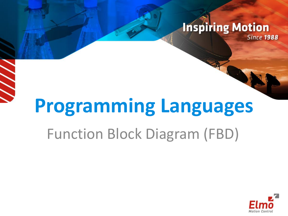#### **Inspiring Motion Since 1988**

# **Programming Languages**

### Function Block Diagram (FBD)

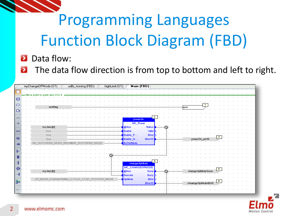#### Data flow:

The data flow direction is from top to bottom and left to right.  $\blacktriangleright$ 

|                | myChangeOPMode (ST)             | Main (FBD)<br>udfb_homing (FBD)<br>highLimit (ST)                                                                |  |
|----------------|---------------------------------|------------------------------------------------------------------------------------------------------------------|--|
| $\blacksquare$ | Move point to point axis 0 to 9 |                                                                                                                  |  |
| 趣              |                                 |                                                                                                                  |  |
| ▭              | endflag                         | $\mathbf{1}$<br>∤end                                                                                             |  |
| $\Box$         |                                 |                                                                                                                  |  |
|                |                                 | $\overline{2}$<br>powerOn                                                                                        |  |
|                | my Axis [0]                     | MC_Power<br>@ Axis<br>Status                                                                                     |  |
|                | true                            | Nalid<br>Enable                                                                                                  |  |
| lab:           | true<br>true                    | <b>Error</b><br>Enable_P<br>$\mathbf{3}$<br>Error1D<br>powerOn_emID<br>Enable_N                                  |  |
| $\rightarrow$  | MC BUFFERED MODE ENUMIMIC BI    | <b>BufferMode</b>                                                                                                |  |
| г              |                                 |                                                                                                                  |  |
| ٠IF            |                                 |                                                                                                                  |  |
|                |                                 | $\overline{4}$<br>change OpMode                                                                                  |  |
| ĐН             | my Axis [0]                     | MC_CHANGEOPMODE<br>5<br>change OpMode Done<br>@Axis<br>Done                                                      |  |
|                |                                 | Busy<br><b>Execute</b>                                                                                           |  |
| 黏              |                                 | OP MODE DS402#OPM402 CYCLIC SYNC POSITION MODE<br>OpMode<br>Error<br>6<br>cheange OpMode ErrID<br><b>Error1D</b> |  |
|                |                                 |                                                                                                                  |  |
|                |                                 |                                                                                                                  |  |



 $\mathcal{P}$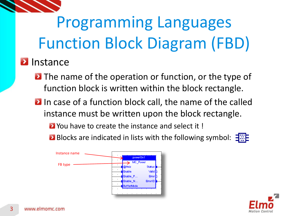

#### **D** Instance

- **D** The name of the operation or function, or the type of function block is written within the block rectangle.
- **In case of a function block call, the name of the called** instance must be written upon the block rectangle.
	- **E** You have to create the instance and select it!
	- **Blocks are indicated in lists with the following symbol:**  $\frac{1}{2}$ .



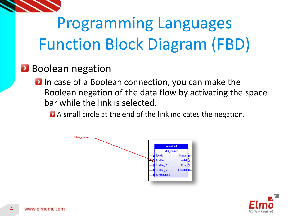

### **Boolean negation**

**D** In case of a Boolean connection, you can make the Boolean negation of the data flow by activating the space bar while the link is selected.

A small circle at the end of the link indicates the negation.



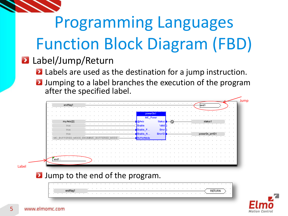### **Label/Jump/Return**

- **Labels are used as the destination for a jump instruction.**
- **D** Jumping to a label branches the execution of the program after the specified label.

|                     |  | powerOn1<br>MC_Power          |                         |  |              |  |
|---------------------|--|-------------------------------|-------------------------|--|--------------|--|
| my Axis [2]<br>true |  | <b>@Axis</b><br><b>Enable</b> | Status<br>Valid         |  | status       |  |
| true<br>true        |  | Enable P<br>Enable N          | Error<br><b>Error1D</b> |  | powerOn emID |  |
|                     |  | ButterMode                    |                         |  |              |  |
|                     |  |                               |                         |  |              |  |
|                     |  |                               |                         |  |              |  |
| $end1$ :            |  |                               |                         |  |              |  |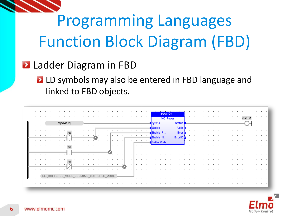

#### **Ladder Diagram in FBD**

**L** LD symbols may also be entered in FBD language and linked to FBD objects.

|     |                          |         |    |  |         |      |  |  |  |  |  |  |         |         |  |                          |                  |                               | powerOn1<br>MC_Power |                 |  |  |  |  |  |  |  |                      |                    |         |
|-----|--------------------------|---------|----|--|---------|------|--|--|--|--|--|--|---------|---------|--|--------------------------|------------------|-------------------------------|----------------------|-----------------|--|--|--|--|--|--|--|----------------------|--------------------|---------|
|     |                          |         |    |  | my Axis |      |  |  |  |  |  |  |         |         |  | $\overline{\phantom{a}}$ | @ Axis<br>Enable |                               |                      | Status<br>Valid |  |  |  |  |  |  |  | $\ddot{\phantom{1}}$ | $\cdot$<br>$\cdot$ | $\cdot$ |
|     |                          |         |    |  |         | true |  |  |  |  |  |  |         |         |  | $\cdot$                  |                  | Enable P                      |                      | <b>Error</b>    |  |  |  |  |  |  |  |                      |                    |         |
|     |                          |         |    |  |         |      |  |  |  |  |  |  |         |         |  |                          |                  | Enable N<br><b>BufferMode</b> |                      | Error1D         |  |  |  |  |  |  |  |                      |                    |         |
|     |                          |         |    |  |         | true |  |  |  |  |  |  |         |         |  |                          |                  |                               |                      |                 |  |  |  |  |  |  |  |                      |                    |         |
|     |                          |         |    |  |         |      |  |  |  |  |  |  | $\cdot$ | $\cdot$ |  |                          |                  |                               |                      |                 |  |  |  |  |  |  |  |                      |                    |         |
|     |                          |         |    |  |         | true |  |  |  |  |  |  |         |         |  |                          |                  |                               |                      |                 |  |  |  |  |  |  |  |                      |                    |         |
|     | $\overline{\phantom{a}}$ | $\cdot$ | MC |  |         |      |  |  |  |  |  |  |         |         |  |                          |                  |                               |                      |                 |  |  |  |  |  |  |  |                      |                    |         |
| . н |                          |         |    |  |         |      |  |  |  |  |  |  |         |         |  |                          |                  |                               |                      |                 |  |  |  |  |  |  |  |                      |                    |         |